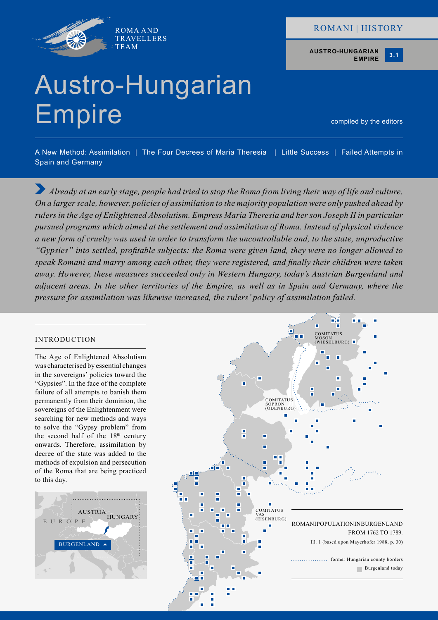

# ROMANI | HISTORY

**AUSTRO-HUNGARIAN EMPIRE**



# Austro-Hungarian Empire

compiled by the editors

A New Method: Assimilation | The Four Decrees of Maria Theresia | Little Success | Failed Attempts in Spain and Germany

*Already at an early stage, people had tried to stop the Roma from living their way of life and culture. On a larger scale, however, policies of assimilation to the majority population were only pushed ahead by rulers in the Age of Enlightened Absolutism. Empress Maria Theresia and her son Joseph II in particular pursued programs which aimed at the settlement and assimilation of Roma. Instead of physical violence a new form of cruelty was used in order to transform the uncontrollable and, to the state, unproductive "Gypsies" into settled, profitable subjects: the Roma were given land, they were no longer allowed to speak Romani and marry among each other, they were registered, and finally their children were taken away. However, these measures succeeded only in Western Hungary, today's Austrian Burgenland and adjacent areas. In the other territories of the Empire, as well as in Spain and Germany, where the pressure for assimilation was likewise increased, the rulers' policy of assimilation failed.*

# INTRODUCTION

The Age of Enlightened Absolutism was characterised by essential changes in the sovereigns' policies toward the "Gypsies". In the face of the complete failure of all attempts to banish them permanently from their dominion, the sovereigns of the Enlightenment were searching for new methods and ways to solve the "Gypsy problem" from the second half of the  $18<sup>th</sup>$  century onwards. Therefore, assimilation by decree of the state was added to the methods of expulsion and persecution of the Roma that are being practiced to this day.



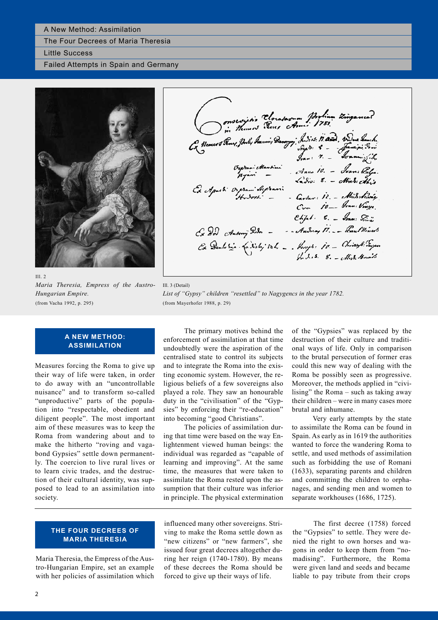#### A New Method: Assimilation

The Four Decrees of Maria Theresia

Little Success

Failed Attempts in Spain and Germany



Ill. 2 *Maria Theresia, Empress of the Austro-Hungarian Empire.* (from Vacha 1992, p. 295)

onsexuitir Cloratasum Portium Zinganea? Ca Moment Seney, John Frances Seney, Indies Maria, Variabanche .<br>Ca Moment Seney, John Frances Samming Song Seney .<br>1943. 1- Joannes Seney .<br>1945. Organi Segerani.<br>Ca Aparti Organi Segerani.<br>10- Com 10- Joan Vinge.<br>10- Joa  $Chj<sub>th</sub>$  6.  $S<sub>cm</sub>$  Some  $S<sub>cm</sub>$ Cx Dor Antony Dor - - - Andrey M. - Rau Mines<br>Cx Denk sin (a Nota) to h - . hugh: 10. - Christoph: Tayen<br>h d.s. 8. - Mich: Knaits

Ill. 3 (Detail) *List of "Gypsy" children "resettled" to Nagygencs in the year 1782.* (from Mayerhofer 1988, p. 29)

#### **A NEW METHOD: ASSIMILATION**

Measures forcing the Roma to give up their way of life were taken, in order to do away with an "uncontrollable nuisance" and to transform so-called "unproductive" parts of the population into "respectable, obedient and diligent people". The most important aim of these measures was to keep the Roma from wandering about and to make the hitherto "roving and vagabond Gypsies" settle down permanently. The coercion to live rural lives or to learn civic trades, and the destruction of their cultural identity, was supposed to lead to an assimilation into society.

The primary motives behind the enforcement of assimilation at that time undoubtedly were the aspiration of the centralised state to control its subjects and to integrate the Roma into the existing economic system. However, the religious beliefs of a few sovereigns also played a role. They saw an honourable duty in the "civilisation" of the "Gypsies" by enforcing their "re-education" into becoming "good Christians".

The policies of assimilation during that time were based on the way Enlightenment viewed human beings: the individual was regarded as "capable of learning and improving". At the same time, the measures that were taken to assimilate the Roma rested upon the assumption that their culture was inferior in principle. The physical extermination

of the "Gypsies" was replaced by the destruction of their culture and traditional ways of life. Only in comparison to the brutal persecution of former eras could this new way of dealing with the Roma be possibly seen as progressive. Moreover, the methods applied in "civilising" the Roma – such as taking away their children – were in many cases more brutal and inhumane.

Very early attempts by the state to assimilate the Roma can be found in Spain. As early as in 1619 the authorities wanted to force the wandering Roma to settle, and used methods of assimilation such as forbidding the use of Romani (1633), separating parents and children and committing the children to orphanages, and sending men and women to separate workhouses (1686, 1725).

#### **THE FOUR DECREES OF MARIA THERESIA**

Maria Theresia, the Empress of the Austro-Hungarian Empire, set an example with her policies of assimilation which

influenced many other sovereigns. Striving to make the Roma settle down as "new citizens" or "new farmers", she issued four great decrees altogether during her reign (1740-1780). By means of these decrees the Roma should be forced to give up their ways of life.

The first decree (1758) forced the "Gypsies" to settle. They were denied the right to own horses and wagons in order to keep them from "nomadising". Furthermore, the Roma were given land and seeds and became liable to pay tribute from their crops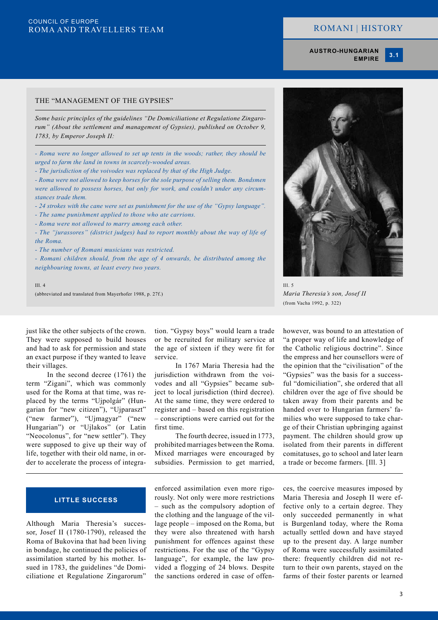# ROMANI | HISTORY

**AUSTRO-HUNGARIAN EMPIRE** **3.1**

#### THE "MANAGEMENT OF THE GYPSIES"

*Some basic principles of the guidelines "De Domiciliatione et Regulatione Zingarorum" (About the settlement and management of Gypsies), published on October 9, 1783, by Emperor Joseph II:*

*- Roma were no longer allowed to set up tents in the woods; rather, they should be urged to farm the land in towns in scarcely-wooded areas.*

*- The jurisdiction of the voivodes was replaced by that of the High Judge.*

*- Roma were not allowed to keep horses for the sole purpose of selling them. Bondsmen were allowed to possess horses, but only for work, and couldn't under any circumstances trade them.*

*- 24 strokes with the cane were set as punishment for the use of the "Gypsy language".*

*- The same punishment applied to those who ate carrions.*

*- Roma were not allowed to marry among each other.*

*- The "jurassores" (district judges) had to report monthly about the way of life of the Roma.*

*- The number of Romani musicians was restricted.*

*- Romani children should, from the age of 4 onwards, be distributed among the neighbouring towns, at least every two years.*

Ill. 4

(abbreviated and translated from Mayerhofer 1988, p. 27f.)



*Maria Theresia's son, Josef II* (from Vacha 1992, p. 322)

just like the other subjects of the crown. They were supposed to build houses and had to ask for permission and state an exact purpose if they wanted to leave their villages.

In the second decree (1761) the term "Zigani", which was commonly used for the Roma at that time, was replaced by the terms "Ujpolgár" (Hungarian for "new citizen"), "Ujparaszt" ("new farmer"), "Ujmagyar" ("new Hungarian") or "Ujlakos" (or Latin "Neocolonus", for "new settler"). They were supposed to give up their way of life, together with their old name, in order to accelerate the process of integration. "Gypsy boys" would learn a trade or be recruited for military service at the age of sixteen if they were fit for service.

In 1767 Maria Theresia had the jurisdiction withdrawn from the voivodes and all "Gypsies" became subject to local jurisdiction (third decree). At the same time, they were ordered to register and – based on this registration – conscriptions were carried out for the first time.

The fourth decree, issued in 1773, prohibited marriages between the Roma. Mixed marriages were encouraged by subsidies. Permission to get married, however, was bound to an attestation of "a proper way of life and knowledge of the Catholic religious doctrine". Since the empress and her counsellors were of the opinion that the "civilisation" of the "Gypsies" was the basis for a successful "domiciliation", she ordered that all children over the age of five should be taken away from their parents and be handed over to Hungarian farmers' families who were supposed to take charge of their Christian upbringing against payment. The children should grow up isolated from their parents in different comitatuses, go to school and later learn a trade or become farmers. [Ill. 3]

#### **LITTLE SUCCESS**

Although Maria Theresia's successor, Josef II (1780-1790), released the Roma of Bukovina that had been living in bondage, he continued the policies of assimilation started by his mother. Issued in 1783, the guidelines "de Domiciliatione et Regulatione Zingarorum"

enforced assimilation even more rigorously. Not only were more restrictions – such as the compulsory adoption of the clothing and the language of the village people – imposed on the Roma, but they were also threatened with harsh punishment for offences against these restrictions. For the use of the "Gypsy language", for example, the law provided a flogging of 24 blows. Despite the sanctions ordered in case of offences, the coercive measures imposed by Maria Theresia and Joseph II were effective only to a certain degree. They only succeeded permanently in what is Burgenland today, where the Roma actually settled down and have stayed up to the present day. A large number of Roma were successfully assimilated there: frequently children did not return to their own parents, stayed on the farms of their foster parents or learned